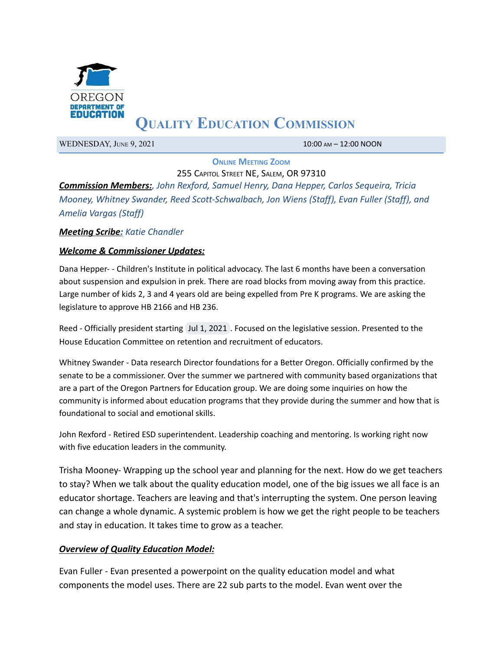

# **QUALITY EDUCATION COMMISSION**

WEDNESDAY, JUNE 9, 2021 10:00 AM – 12:00 NOON

**ONLINE MEETING ZOOM**

255 CAPITOL STREET NE, SALEM, OR 97310 *Commission Members:, John Rexford, Samuel Henry, Dana Hepper, Carlos Sequeira, Tricia Mooney, Whitney Swander, Reed Scott-Schwalbach, Jon Wiens (Staff), Evan Fuller (Staff), and Amelia Vargas (Staff)*

## *Meeting Scribe: Katie Chandler*

### *Welcome & Commissioner Updates:*

Dana Hepper- - Children's Institute in political advocacy. The last 6 months have been a conversation about suspension and expulsion in prek. There are road blocks from moving away from this practice. Large number of kids 2, 3 and 4 years old are being expelled from Pre K programs. We are asking the legislature to approve HB 2166 and HB 236.

Reed - Officially president starting Jul 1, 2021 . Focused on the legislative session. Presented to the House Education Committee on retention and recruitment of educators.

Whitney Swander - Data research Director foundations for a Better Oregon. Officially confirmed by the senate to be a commissioner. Over the summer we partnered with community based organizations that are a part of the Oregon Partners for Education group. We are doing some inquiries on how the community is informed about education programs that they provide during the summer and how that is foundational to social and emotional skills.

John Rexford - Retired ESD superintendent. Leadership coaching and mentoring. Is working right now with five education leaders in the community.

Trisha Mooney- Wrapping up the school year and planning for the next. How do we get teachers to stay? When we talk about the quality education model, one of the big issues we all face is an educator shortage. Teachers are leaving and that's interrupting the system. One person leaving can change a whole dynamic. A systemic problem is how we get the right people to be teachers and stay in education. It takes time to grow as a teacher.

### *Overview of Quality Education Model:*

Evan Fuller - Evan presented a powerpoint on the quality education model and what components the model uses. There are 22 sub parts to the model. Evan went over the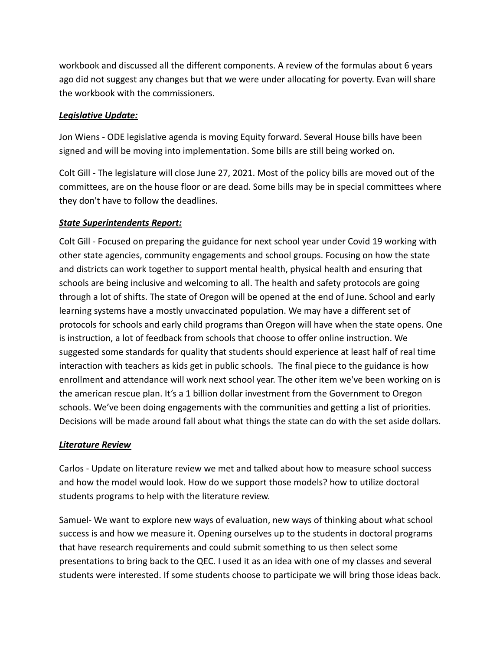workbook and discussed all the different components. A review of the formulas about 6 years ago did not suggest any changes but that we were under allocating for poverty. Evan will share the workbook with the commissioners.

# *Legislative Update:*

Jon Wiens - ODE legislative agenda is moving Equity forward. Several House bills have been signed and will be moving into implementation. Some bills are still being worked on.

Colt Gill - The legislature will close June 27, 2021. Most of the policy bills are moved out of the committees, are on the house floor or are dead. Some bills may be in special committees where they don't have to follow the deadlines.

## *State Superintendents Report:*

Colt Gill - Focused on preparing the guidance for next school year under Covid 19 working with other state agencies, community engagements and school groups. Focusing on how the state and districts can work together to support mental health, physical health and ensuring that schools are being inclusive and welcoming to all. The health and safety protocols are going through a lot of shifts. The state of Oregon will be opened at the end of June. School and early learning systems have a mostly unvaccinated population. We may have a different set of protocols for schools and early child programs than Oregon will have when the state opens. One is instruction, a lot of feedback from schools that choose to offer online instruction. We suggested some standards for quality that students should experience at least half of real time interaction with teachers as kids get in public schools. The final piece to the guidance is how enrollment and attendance will work next school year. The other item we've been working on is the american rescue plan. It's a 1 billion dollar investment from the Government to Oregon schools. We've been doing engagements with the communities and getting a list of priorities. Decisions will be made around fall about what things the state can do with the set aside dollars.

# *Literature Review*

Carlos - Update on literature review we met and talked about how to measure school success and how the model would look. How do we support those models? how to utilize doctoral students programs to help with the literature review.

Samuel- We want to explore new ways of evaluation, new ways of thinking about what school success is and how we measure it. Opening ourselves up to the students in doctoral programs that have research requirements and could submit something to us then select some presentations to bring back to the QEC. I used it as an idea with one of my classes and several students were interested. If some students choose to participate we will bring those ideas back.